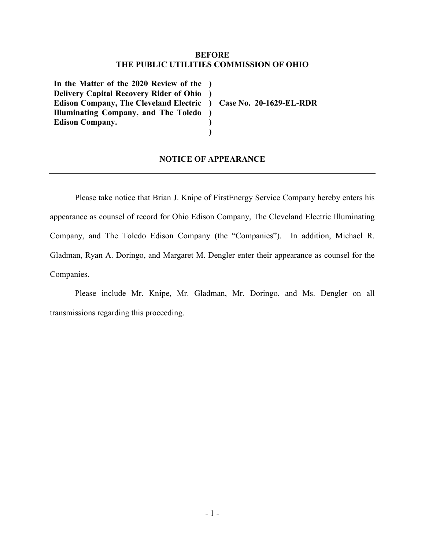## **BEFORE THE PUBLIC UTILITIES COMMISSION OF OHIO**

**In the Matter of the 2020 Review of the ) Delivery Capital Recovery Rider of Ohio ) Edison Company, The Cleveland Electric ) Case No. 20-1629-EL-RDR Illuminating Company, and The Toledo ) Edison Company.**

## **NOTICE OF APPEARANCE**

**) )**

Please take notice that Brian J. Knipe of FirstEnergy Service Company hereby enters his appearance as counsel of record for Ohio Edison Company, The Cleveland Electric Illuminating Company, and The Toledo Edison Company (the "Companies"). In addition, Michael R. Gladman, Ryan A. Doringo, and Margaret M. Dengler enter their appearance as counsel for the Companies.

Please include Mr. Knipe, Mr. Gladman, Mr. Doringo, and Ms. Dengler on all transmissions regarding this proceeding.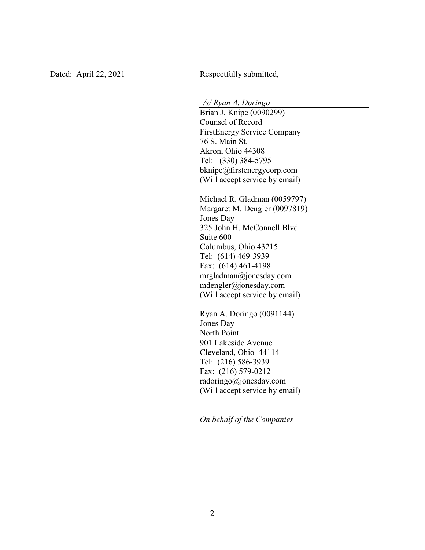Dated: April 22, 2021 Respectfully submitted,

*/s/ Ryan A. Doringo*

Brian J. Knipe (0090299) Counsel of Record FirstEnergy Service Company 76 S. Main St. Akron, Ohio 44308 Tel: (330) 384-5795 bknipe@firstenergycorp.com (Will accept service by email)

Michael R. Gladman (0059797) Margaret M. Dengler (0097819) Jones Day 325 John H. McConnell Blvd Suite 600 Columbus, Ohio 43215 Tel: (614) 469-3939 Fax: (614) 461-4198 mrgladman@jonesday.com mdengler@jonesday.com (Will accept service by email)

Ryan A. Doringo (0091144) Jones Day North Point 901 Lakeside Avenue Cleveland, Ohio 44114 Tel: (216) 586-3939 Fax: (216) 579-0212 radoringo@jonesday.com (Will accept service by email)

*On behalf of the Companies*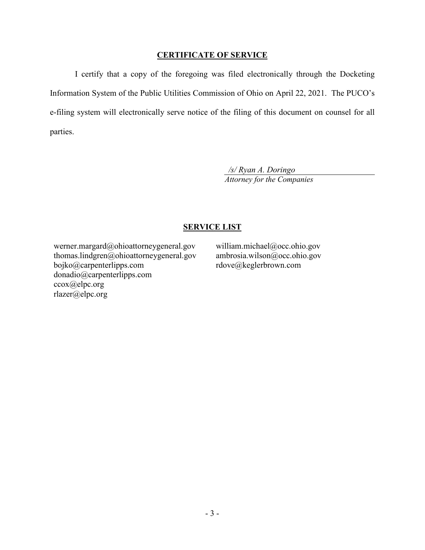## **CERTIFICATE OF SERVICE**

I certify that a copy of the foregoing was filed electronically through the Docketing Information System of the Public Utilities Commission of Ohio on April 22, 2021. The PUCO's e-filing system will electronically serve notice of the filing of this document on counsel for all parties.

> */s/ Ryan A. Doringo Attorney for the Companies*

## **SERVICE LIST**

werner.margard@ohioattorneygeneral.gov thomas.lindgren@ohioattorneygeneral.gov bojko@carpenterlipps.com donadio@carpenterlipps.com ccox@elpc.org rlazer@elpc.org

william.michael@occ.ohio.gov ambrosia.wilson@occ.ohio.gov rdove@keglerbrown.com